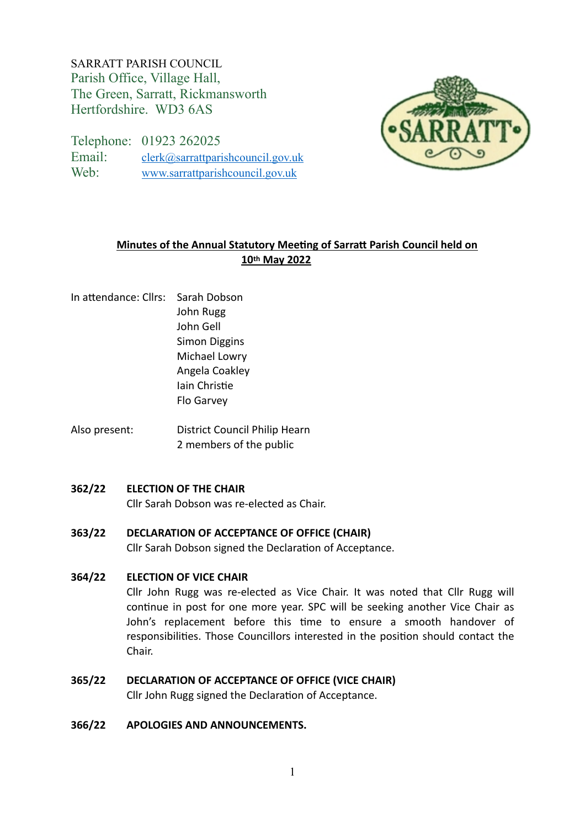SARRATT PARISH COUNCIL Parish Office, Village Hall, The Green, Sarratt, Rickmansworth Hertfordshire. WD3 6AS

Telephone: 01923 262025 Email: [clerk@sarrattparishcouncil.gov.uk](mailto:clerk@sarrattparishcouncil.gov.uk) Web: [www.sarrattparishcouncil.gov.uk](http://www.sarrattparishcouncil.gov.uk)



# **Minutes of the Annual Statutory Meeting of Sarratt Parish Council held on 10th May 2022**

- In attendance: Cllrs: Sarah Dobson John Rugg John Gell Simon Diggins Michael Lowry Angela Coakley Iain Christie Flo Garvey
- Also present: District Council Philip Hearn 2 members of the public

## **362/22 ELECTION OF THE CHAIR**

Cllr Sarah Dobson was re-elected as Chair.

**363/22 DECLARATION OF ACCEPTANCE OF OFFICE (CHAIR)**

Cllr Sarah Dobson signed the Declaration of Acceptance.

## **364/22 ELECTION OF VICE CHAIR**

Cllr John Rugg was re-elected as Vice Chair. It was noted that Cllr Rugg will continue in post for one more year. SPC will be seeking another Vice Chair as John's replacement before this time to ensure a smooth handover of responsibilities. Those Councillors interested in the position should contact the Chair.

# **365/22 DECLARATION OF ACCEPTANCE OF OFFICE (VICE CHAIR)**

Cllr John Rugg signed the Declaration of Acceptance.

## **366/22 APOLOGIES AND ANNOUNCEMENTS.**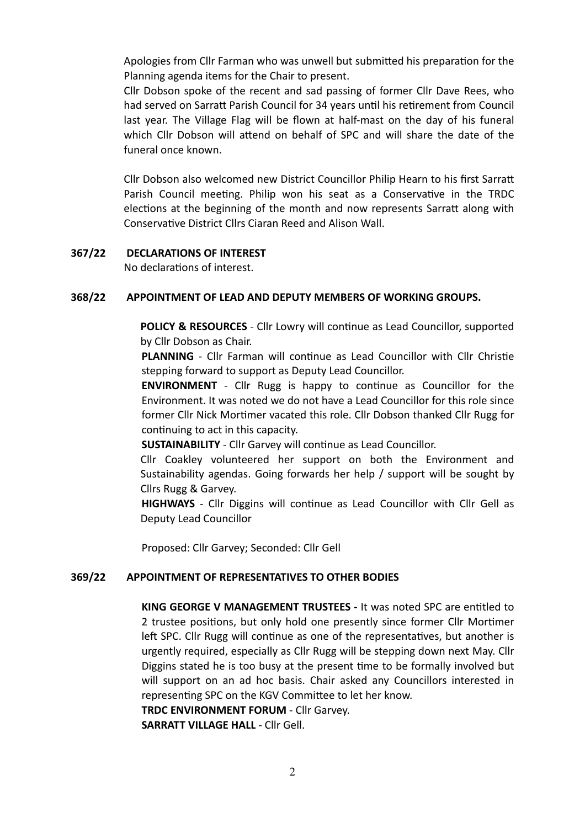Apologies from Cllr Farman who was unwell but submitted his preparation for the Planning agenda items for the Chair to present.

Cllr Dobson spoke of the recent and sad passing of former Cllr Dave Rees, who had served on Sarratt Parish Council for 34 years until his retirement from Council last year. The Village Flag will be flown at half-mast on the day of his funeral which Cllr Dobson will attend on behalf of SPC and will share the date of the funeral once known.

Cllr Dobson also welcomed new District Councillor Philip Hearn to his first Sarratt Parish Council meeting. Philip won his seat as a Conservative in the TRDC elections at the beginning of the month and now represents Sarratt along with Conservative District Cllrs Ciaran Reed and Alison Wall.

## **367/22 DECLARATIONS OF INTEREST**

No declarations of interest.

## **368/22 APPOINTMENT OF LEAD AND DEPUTY MEMBERS OF WORKING GROUPS.**

**POLICY & RESOURCES** - Cllr Lowry will continue as Lead Councillor, supported by Cllr Dobson as Chair.

**PLANNING** - Cllr Farman will continue as Lead Councillor with Cllr Christie stepping forward to support as Deputy Lead Councillor.

**ENVIRONMENT** - Cllr Rugg is happy to continue as Councillor for the Environment. It was noted we do not have a Lead Councillor for this role since former Cllr Nick Mortimer vacated this role. Cllr Dobson thanked Cllr Rugg for continuing to act in this capacity.

**SUSTAINABILITY** - Cllr Garvey will continue as Lead Councillor.

Cllr Coakley volunteered her support on both the Environment and Sustainability agendas. Going forwards her help / support will be sought by Cllrs Rugg & Garvey.

**HIGHWAYS** - Cllr Diggins will continue as Lead Councillor with Cllr Gell as Deputy Lead Councillor

Proposed: Cllr Garvey; Seconded: Cllr Gell

## **369/22 APPOINTMENT OF REPRESENTATIVES TO OTHER BODIES**

**KING GEORGE V MANAGEMENT TRUSTEES -** It was noted SPC are entitled to 2 trustee positions, but only hold one presently since former Cllr Mortimer left SPC. Cllr Rugg will continue as one of the representatives, but another is urgently required, especially as Cllr Rugg will be stepping down next May. Cllr Diggins stated he is too busy at the present time to be formally involved but will support on an ad hoc basis. Chair asked any Councillors interested in representing SPC on the KGV Committee to let her know.

**TRDC ENVIRONMENT FORUM** - Cllr Garvey.

**SARRATT VILLAGE HALL** - Cllr Gell.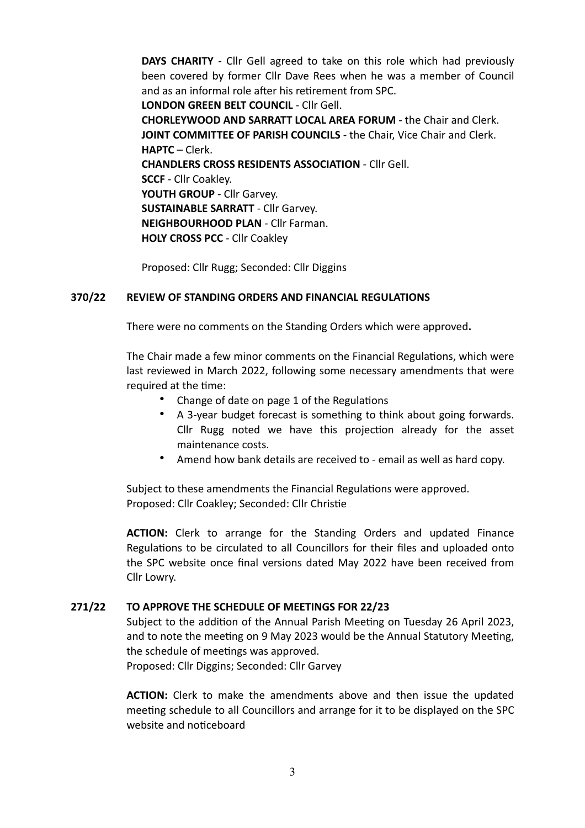**DAYS CHARITY** - Cllr Gell agreed to take on this role which had previously been covered by former Cllr Dave Rees when he was a member of Council and as an informal role after his retirement from SPC.

**LONDON GREEN BELT COUNCIL** - Cllr Gell.

**CHORLEYWOOD AND SARRATT LOCAL AREA FORUM** - the Chair and Clerk. **JOINT COMMITTEE OF PARISH COUNCILS - the Chair, Vice Chair and Clerk. HAPTC** – Clerk. **CHANDLERS CROSS RESIDENTS ASSOCIATION** - Cllr Gell. **SCCF** - Cllr Coakley. **YOUTH GROUP** - Cllr Garvey. **SUSTAINABLE SARRATT** - Cllr Garvey. **NEIGHBOURHOOD PLAN** - Cllr Farman. **HOLY CROSS PCC** - Cllr Coakley

Proposed: Cllr Rugg; Seconded: Cllr Diggins

# **370/22 REVIEW OF STANDING ORDERS AND FINANCIAL REGULATIONS**

There were no comments on the Standing Orders which were approved**.**

The Chair made a few minor comments on the Financial Regulations, which were last reviewed in March 2022, following some necessary amendments that were required at the time:

- Change of date on page 1 of the Regulations
- A 3-year budget forecast is something to think about going forwards. Cllr Rugg noted we have this projection already for the asset maintenance costs.
- Amend how bank details are received to email as well as hard copy.

Subject to these amendments the Financial Regulations were approved. Proposed: Cllr Coakley; Seconded: Cllr Christie

**ACTION:** Clerk to arrange for the Standing Orders and updated Finance Regulations to be circulated to all Councillors for their files and uploaded onto the SPC website once final versions dated May 2022 have been received from Cllr Lowry.

## **271/22 TO APPROVE THE SCHEDULE OF MEETINGS FOR 22/23**

Subject to the addition of the Annual Parish Meeting on Tuesday 26 April 2023, and to note the meeting on 9 May 2023 would be the Annual Statutory Meeting, the schedule of meetings was approved.

Proposed: Cllr Diggins; Seconded: Cllr Garvey

**ACTION:** Clerk to make the amendments above and then issue the updated meeting schedule to all Councillors and arrange for it to be displayed on the SPC website and noticeboard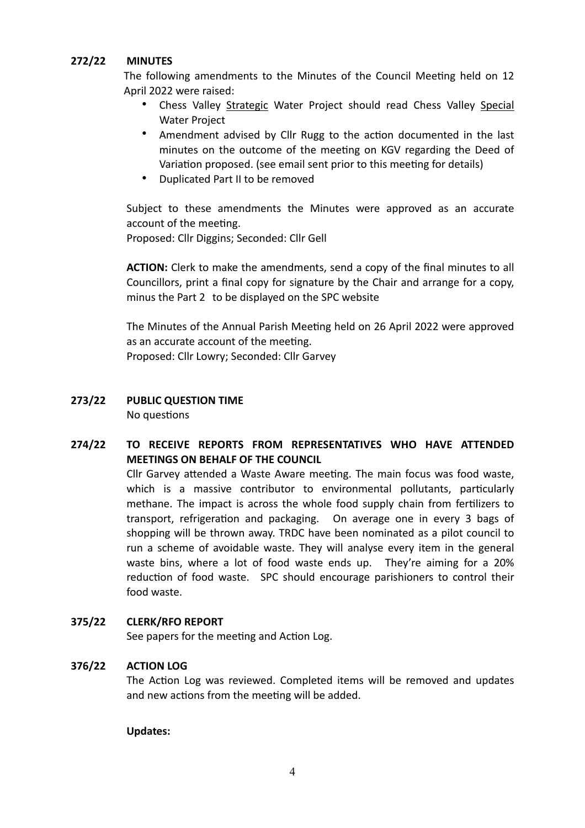## **272/22 MINUTES**

The following amendments to the Minutes of the Council Meeting held on 12 April 2022 were raised:

- Chess Valley Strategic Water Project should read Chess Valley Special Water Project
- Amendment advised by Cllr Rugg to the action documented in the last minutes on the outcome of the meeting on KGV regarding the Deed of Variation proposed. (see email sent prior to this meeting for details)
- Duplicated Part II to be removed

Subject to these amendments the Minutes were approved as an accurate account of the meeting.

Proposed: Cllr Diggins; Seconded: Cllr Gell

**ACTION:** Clerk to make the amendments, send a copy of the final minutes to all Councillors, print a final copy for signature by the Chair and arrange for a copy, minus the Part 2 to be displayed on the SPC website

The Minutes of the Annual Parish Meeting held on 26 April 2022 were approved as an accurate account of the meeting.

Proposed: Cllr Lowry; Seconded: Cllr Garvey

# **273/22 PUBLIC QUESTION TIME**

No questions

# **274/22 TO RECEIVE REPORTS FROM REPRESENTATIVES WHO HAVE ATTENDED MEETINGS ON BEHALF OF THE COUNCIL**

Cllr Garvey attended a Waste Aware meeting. The main focus was food waste, which is a massive contributor to environmental pollutants, particularly methane. The impact is across the whole food supply chain from fertilizers to transport, refrigeration and packaging. On average one in every 3 bags of shopping will be thrown away. TRDC have been nominated as a pilot council to run a scheme of avoidable waste. They will analyse every item in the general waste bins, where a lot of food waste ends up. They're aiming for a 20% reduction of food waste. SPC should encourage parishioners to control their food waste.

# **375/22 CLERK/RFO REPORT**

See papers for the meeting and Action Log.

# **376/22 ACTION LOG**

The Action Log was reviewed. Completed items will be removed and updates and new actions from the meeting will be added.

## **Updates:**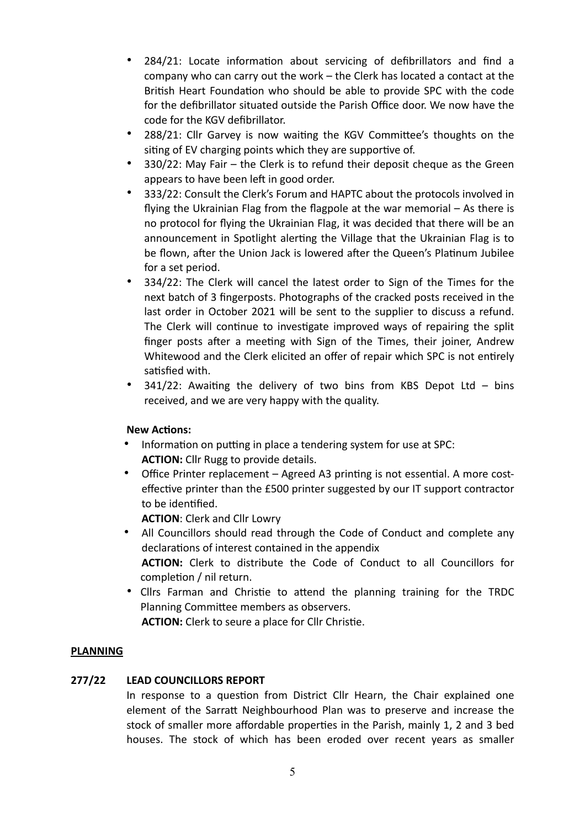- 284/21: Locate information about servicing of defibrillators and find a company who can carry out the work – the Clerk has located a contact at the British Heart Foundation who should be able to provide SPC with the code for the defibrillator situated outside the Parish Office door. We now have the code for the KGV defibrillator.
- 288/21: Cllr Garvey is now waiting the KGV Committee's thoughts on the siting of EV charging points which they are supportive of.
- 330/22: May Fair the Clerk is to refund their deposit cheque as the Green appears to have been left in good order.
- 333/22: Consult the Clerk's Forum and HAPTC about the protocols involved in flying the Ukrainian Flag from the flagpole at the war memorial – As there is no protocol for flying the Ukrainian Flag, it was decided that there will be an announcement in Spotlight alerting the Village that the Ukrainian Flag is to be flown, after the Union Jack is lowered after the Queen's Platinum Jubilee for a set period.
- 334/22: The Clerk will cancel the latest order to Sign of the Times for the next batch of 3 fingerposts. Photographs of the cracked posts received in the last order in October 2021 will be sent to the supplier to discuss a refund. The Clerk will continue to investigate improved ways of repairing the split finger posts after a meeting with Sign of the Times, their joiner, Andrew Whitewood and the Clerk elicited an offer of repair which SPC is not entirely satisfied with.
- 341/22: Awaiting the delivery of two bins from KBS Depot Ltd bins received, and we are very happy with the quality.

# **New Actions:**

- Information on putting in place a tendering system for use at SPC: **ACTION:** Cllr Rugg to provide details.
- Office Printer replacement Agreed A3 printing is not essential. A more costeffective printer than the £500 printer suggested by our IT support contractor to be identified.

**ACTION**: Clerk and Cllr Lowry

- All Councillors should read through the Code of Conduct and complete any declarations of interest contained in the appendix **ACTION:** Clerk to distribute the Code of Conduct to all Councillors for completion / nil return.
- Cllrs Farman and Christie to attend the planning training for the TRDC Planning Committee members as observers.

**ACTION:** Clerk to seure a place for Cllr Christie.

# **PLANNING**

# **277/22 LEAD COUNCILLORS REPORT**

In response to a question from District Cllr Hearn, the Chair explained one element of the Sarratt Neighbourhood Plan was to preserve and increase the stock of smaller more affordable properties in the Parish, mainly 1, 2 and 3 bed houses. The stock of which has been eroded over recent years as smaller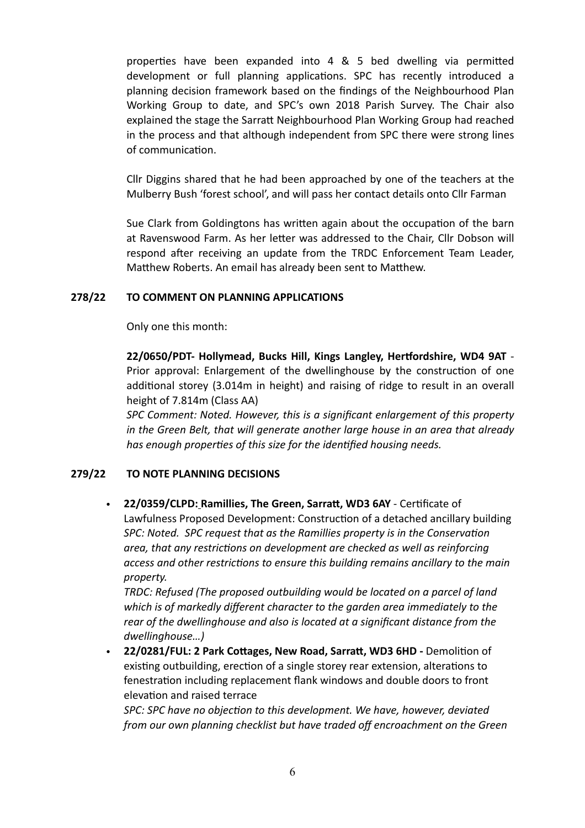properties have been expanded into 4 & 5 bed dwelling via permitted development or full planning applications. SPC has recently introduced a planning decision framework based on the findings of the Neighbourhood Plan Working Group to date, and SPC's own 2018 Parish Survey. The Chair also explained the stage the Sarratt Neighbourhood Plan Working Group had reached in the process and that although independent from SPC there were strong lines of communication.

Cllr Diggins shared that he had been approached by one of the teachers at the Mulberry Bush 'forest school', and will pass her contact details onto Cllr Farman

Sue Clark from Goldingtons has written again about the occupation of the barn at Ravenswood Farm. As her letter was addressed to the Chair, Cllr Dobson will respond after receiving an update from the TRDC Enforcement Team Leader, Matthew Roberts. An email has already been sent to Matthew.

# **278/22 TO COMMENT ON PLANNING APPLICATIONS**

Only one this month:

**22/0650/PDT- Hollymead, Bucks Hill, Kings Langley, Hertfordshire, WD4 9AT** - Prior approval: Enlargement of the dwellinghouse by the construction of one additional storey (3.014m in height) and raising of ridge to result in an overall height of 7.814m (Class AA)

*SPC Comment: Noted. However, this is a significant enlargement of this property in the Green Belt, that will generate another large house in an area that already has enough properties of this size for the identified housing needs.*

# **279/22 TO NOTE PLANNING DECISIONS**

• **22/0359/CLPD: Ramillies, The Green, Sarratt, WD3 6AY** - [Certificate of](https://www3.threerivers.gov.uk/online-applications/applicationDetails.do?keyVal=R82ES6QFJ0300&activeTab=summary)  [Lawfulness Proposed Development: Construction of a detached ancillary building](https://www3.threerivers.gov.uk/online-applications/applicationDetails.do?keyVal=R82ES6QFJ0300&activeTab=summary) *SPC: Noted. SPC request that as the Ramillies property is in the Conservation area, that any restrictions on development are checked as well as reinforcing access and other restrictions to ensure this building remains ancillary to the main property.*

*TRDC: Refused (The proposed outbuilding would be located on a parcel of land which is of markedly different character to the garden area immediately to the rear of the dwellinghouse and also is located at a significant distance from the dwellinghouse…)*

• **22/0281/FUL: 2 Park Cottages, New Road, Sarratt, WD3 6HD -** [Demolition of](https://www3.threerivers.gov.uk/online-applications/applicationDetails.do?keyVal=R7LFMWQFIVV00&activeTab=summary)  [existing outbuilding, erection of a single storey rear extension, alterations to](https://www3.threerivers.gov.uk/online-applications/applicationDetails.do?keyVal=R7LFMWQFIVV00&activeTab=summary)  [fenestration including replacement flank windows and double doors to front](https://www3.threerivers.gov.uk/online-applications/applicationDetails.do?keyVal=R7LFMWQFIVV00&activeTab=summary)  [elevation and raised terrace](https://www3.threerivers.gov.uk/online-applications/applicationDetails.do?keyVal=R7LFMWQFIVV00&activeTab=summary)

*SPC: SPC have no objection to this development. We have, however, deviated from our own planning checklist but have traded off encroachment on the Green*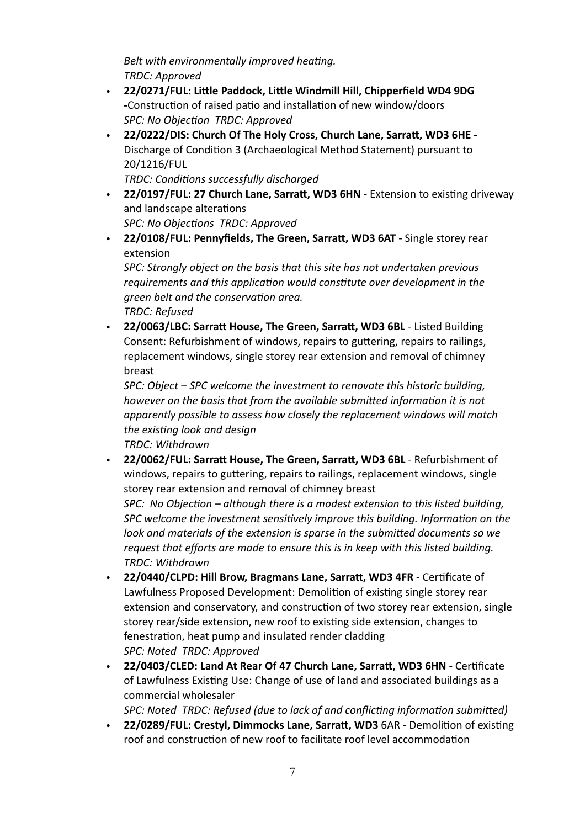*Belt with environmentally improved heating. TRDC: Approved*

- **22/0271/FUL: Little Paddock, Little Windmill Hill, Chipperfield WD4 9DG -**[Construction of raised patio and installation of new window/doors](https://www3.threerivers.gov.uk/online-applications/applicationDetails.do?keyVal=R7I1G1QFIV400&activeTab=summary) *SPC: No Objection TRDC: Approved*
- **22/0222/DIS: Church Of The Holy Cross, Church Lane, Sarratt, WD3 6HE**  [Discharge of Condition 3 \(Archaeological Method Statement\) pursuant to](https://www3.threerivers.gov.uk/online-applications/applicationDetails.do?keyVal=R751HKQF0DC00&activeTab=summary)  [20/1216/FUL](https://www3.threerivers.gov.uk/online-applications/applicationDetails.do?keyVal=R751HKQF0DC00&activeTab=summary)

*TRDC: Conditions successfully discharged*

- **22/0197/FUL: 27 Church Lane, Sarratt, WD3 6HN** [Extension to existing driveway](https://www3.threerivers.gov.uk/online-applications/applicationDetails.do?keyVal=R7129RQFIR600&activeTab=summary)  [and landscape alterations](https://www3.threerivers.gov.uk/online-applications/applicationDetails.do?keyVal=R7129RQFIR600&activeTab=summary) *SPC: No Objections TRDC: Approved*
- **22/0108/FUL: Pennyfields, The Green, Sarratt, WD3 6AT**  [Single storey rear](https://www3.threerivers.gov.uk/online-applications/applicationDetails.do?keyVal=R63QA1QFIMN00&activeTab=summary)  [extension](https://www3.threerivers.gov.uk/online-applications/applicationDetails.do?keyVal=R63QA1QFIMN00&activeTab=summary)

*SPC: Strongly object on the basis that this site has not undertaken previous requirements and this application would constitute over development in the green belt and the conservation area. TRDC: Refused* 

• **22/0063/LBC: Sarratt House, The Green, Sarratt, WD3 6BL** - [Listed Building](https://www3.threerivers.gov.uk/online-applications/applicationDetails.do?keyVal=R5SM97QFIK500&activeTab=summary)  [Consent: Refurbishment of windows, repairs to guttering, repairs to railings,](https://www3.threerivers.gov.uk/online-applications/applicationDetails.do?keyVal=R5SM97QFIK500&activeTab=summary)  [replacement windows, single storey rear extension and removal of chimney](https://www3.threerivers.gov.uk/online-applications/applicationDetails.do?keyVal=R5SM97QFIK500&activeTab=summary)  [breast](https://www3.threerivers.gov.uk/online-applications/applicationDetails.do?keyVal=R5SM97QFIK500&activeTab=summary)

*SPC: Object – SPC welcome the investment to renovate this historic building, however on the basis that from the available submitted information it is not apparently possible to assess how closely the replacement windows will match the existing look and design*

*TRDC: Withdrawn*

• **22/0062/FUL: Sarratt House, The Green, Sarratt, WD3 6BL** - [Refurbishment of](https://www3.threerivers.gov.uk/online-applications/applicationDetails.do?keyVal=R5SM91QFIK300&activeTab=summary)  [windows, repairs to guttering, repairs to railings, replacement windows, single](https://www3.threerivers.gov.uk/online-applications/applicationDetails.do?keyVal=R5SM91QFIK300&activeTab=summary)  [storey rear extension and removal of chimney breast](https://www3.threerivers.gov.uk/online-applications/applicationDetails.do?keyVal=R5SM91QFIK300&activeTab=summary)

*SPC: No Objection – although there is a modest extension to this listed building, SPC welcome the investment sensitively improve this building. Information on the look and materials of the extension is sparse in the submitted documents so we request that efforts are made to ensure this is in keep with this listed building. TRDC: Withdrawn*

- **22/0440/CLPD: Hill Brow, Bragmans Lane, Sarratt, WD3 4FR**  [Certificate of](https://www3.threerivers.gov.uk/online-applications/applicationDetails.do?keyVal=R8IRNSQFJ4400&activeTab=summary)  [Lawfulness Proposed Development: Demolition of existing single storey rear](https://www3.threerivers.gov.uk/online-applications/applicationDetails.do?keyVal=R8IRNSQFJ4400&activeTab=summary)  [extension and conservatory, and construction of two storey rear extension, single](https://www3.threerivers.gov.uk/online-applications/applicationDetails.do?keyVal=R8IRNSQFJ4400&activeTab=summary)  [storey rear/side extension, new roof to existing side extension, changes to](https://www3.threerivers.gov.uk/online-applications/applicationDetails.do?keyVal=R8IRNSQFJ4400&activeTab=summary)  [fenestration, heat pump and insulated render cladding](https://www3.threerivers.gov.uk/online-applications/applicationDetails.do?keyVal=R8IRNSQFJ4400&activeTab=summary) *SPC: Noted TRDC: Approved*
- **22/0403/CLED: Land At Rear Of 47 Church Lane, Sarratt, WD3 6HN** - [Certificate](https://www3.threerivers.gov.uk/online-applications/applicationDetails.do?keyVal=R89IAFQFJ2400&activeTab=summary)  [of Lawfulness Existing Use: Change of use of land and associated buildings as a](https://www3.threerivers.gov.uk/online-applications/applicationDetails.do?keyVal=R89IAFQFJ2400&activeTab=summary)  [commercial wholesaler](https://www3.threerivers.gov.uk/online-applications/applicationDetails.do?keyVal=R89IAFQFJ2400&activeTab=summary)

*SPC: Noted TRDC: Refused (due to lack of and conflicting information submitted)*

• **22/0289/FUL: Crestyl, Dimmocks Lane, Sarratt, WD3** 6AR - [Demolition of existing](https://www3.threerivers.gov.uk/online-applications/applicationDetails.do?keyVal=R7NLHLQFIWF00&activeTab=summary)  [roof and construction of new roof to facilitate roof level accommodation](https://www3.threerivers.gov.uk/online-applications/applicationDetails.do?keyVal=R7NLHLQFIWF00&activeTab=summary)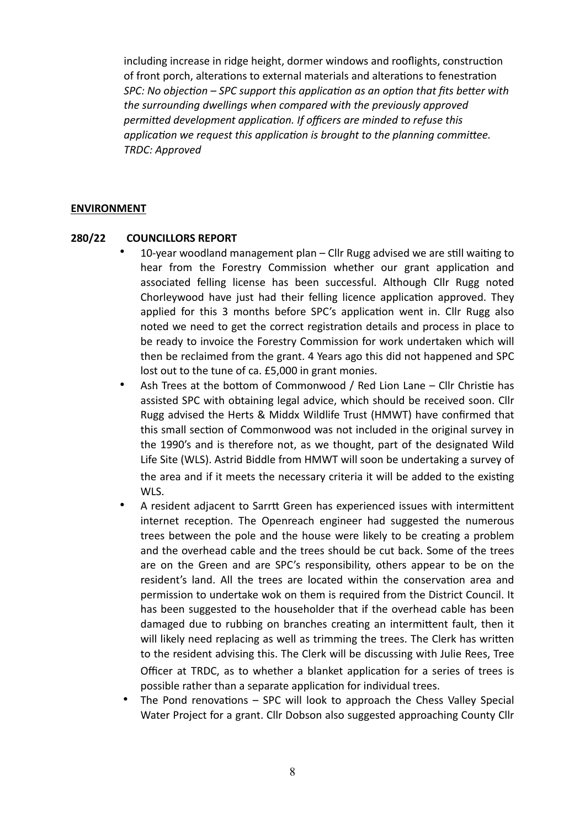[including increase in ridge height, dormer windows and rooflights, construction](https://www3.threerivers.gov.uk/online-applications/applicationDetails.do?keyVal=R7NLHLQFIWF00&activeTab=summary)  [of front porch, alterations to external materials and alterations to fenestration](https://www3.threerivers.gov.uk/online-applications/applicationDetails.do?keyVal=R7NLHLQFIWF00&activeTab=summary) *SPC: No objection – SPC support this application as an option that fits better with the surrounding dwellings when compared with the previously approved permitted development application. If officers are minded to refuse this application we request this application is brought to the planning committee. TRDC: Approved*

#### **ENVIRONMENT**

#### **280/22 COUNCILLORS REPORT**

- 10-year woodland management plan Cllr Rugg advised we are still waiting to hear from the Forestry Commission whether our grant application and associated felling license has been successful. Although Cllr Rugg noted Chorleywood have just had their felling licence application approved. They applied for this 3 months before SPC's application went in. Cllr Rugg also noted we need to get the correct registration details and process in place to be ready to invoice the Forestry Commission for work undertaken which will then be reclaimed from the grant. 4 Years ago this did not happened and SPC lost out to the tune of ca. £5,000 in grant monies.
- Ash Trees at the bottom of Commonwood / Red Lion Lane Cllr Christie has assisted SPC with obtaining legal advice, which should be received soon. Cllr Rugg advised the Herts & Middx Wildlife Trust (HMWT) have confirmed that this small section of Commonwood was not included in the original survey in the 1990's and is therefore not, as we thought, part of the designated Wild Life Site (WLS). Astrid Biddle from HMWT will soon be undertaking a survey of the area and if it meets the necessary criteria it will be added to the existing WLS.
- A resident adjacent to Sarrtt Green has experienced issues with intermittent internet reception. The Openreach engineer had suggested the numerous trees between the pole and the house were likely to be creating a problem and the overhead cable and the trees should be cut back. Some of the trees are on the Green and are SPC's responsibility, others appear to be on the resident's land. All the trees are located within the conservation area and permission to undertake wok on them is required from the District Council. It has been suggested to the householder that if the overhead cable has been damaged due to rubbing on branches creating an intermittent fault, then it will likely need replacing as well as trimming the trees. The Clerk has written to the resident advising this. The Clerk will be discussing with Julie Rees, Tree Officer at TRDC, as to whether a blanket application for a series of trees is possible rather than a separate application for individual trees.
- The Pond renovations SPC will look to approach the Chess Valley Special Water Project for a grant. Cllr Dobson also suggested approaching County Cllr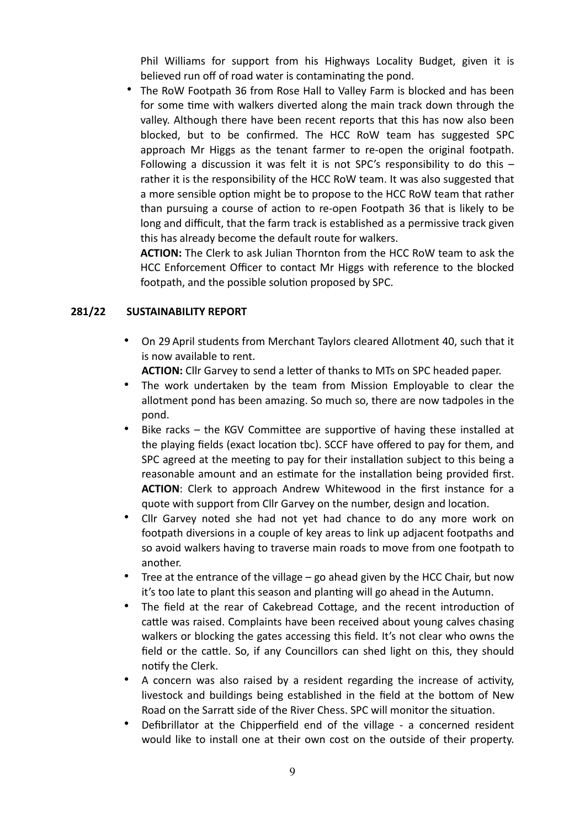Phil Williams for support from his Highways Locality Budget, given it is believed run off of road water is contaminating the pond.

• The RoW Footpath 36 from Rose Hall to Valley Farm is blocked and has been for some time with walkers diverted along the main track down through the valley. Although there have been recent reports that this has now also been blocked, but to be confirmed. The HCC RoW team has suggested SPC approach Mr Higgs as the tenant farmer to re-open the original footpath. Following a discussion it was felt it is not SPC's responsibility to do this – rather it is the responsibility of the HCC RoW team. It was also suggested that a more sensible option might be to propose to the HCC RoW team that rather than pursuing a course of action to re-open Footpath 36 that is likely to be long and difficult, that the farm track is established as a permissive track given this has already become the default route for walkers.

**ACTION:** The Clerk to ask Julian Thornton from the HCC RoW team to ask the HCC Enforcement Officer to contact Mr Higgs with reference to the blocked footpath, and the possible solution proposed by SPC.

# **281/22 SUSTAINABILITY REPORT**

- On 29 April students from Merchant Taylors cleared Allotment 40, such that it is now available to rent.
	- **ACTION:** Cllr Garvey to send a letter of thanks to MTs on SPC headed paper.
- The work undertaken by the team from Mission Employable to clear the allotment pond has been amazing. So much so, there are now tadpoles in the pond.
- Bike racks the KGV Committee are supportive of having these installed at the playing fields (exact location tbc). SCCF have offered to pay for them, and SPC agreed at the meeting to pay for their installation subject to this being a reasonable amount and an estimate for the installation being provided first. **ACTION**: Clerk to approach Andrew Whitewood in the first instance for a quote with support from Cllr Garvey on the number, design and location.
- Cllr Garvey noted she had not yet had chance to do any more work on footpath diversions in a couple of key areas to link up adjacent footpaths and so avoid walkers having to traverse main roads to move from one footpath to another.
- Tree at the entrance of the village  $-$  go ahead given by the HCC Chair, but now it's too late to plant this season and planting will go ahead in the Autumn.
- The field at the rear of Cakebread Cottage, and the recent introduction of cattle was raised. Complaints have been received about young calves chasing walkers or blocking the gates accessing this field. It's not clear who owns the field or the cattle. So, if any Councillors can shed light on this, they should notify the Clerk.
- A concern was also raised by a resident regarding the increase of activity, livestock and buildings being established in the field at the bottom of New Road on the Sarratt side of the River Chess. SPC will monitor the situation.
- Defibrillator at the Chipperfield end of the village a concerned resident would like to install one at their own cost on the outside of their property.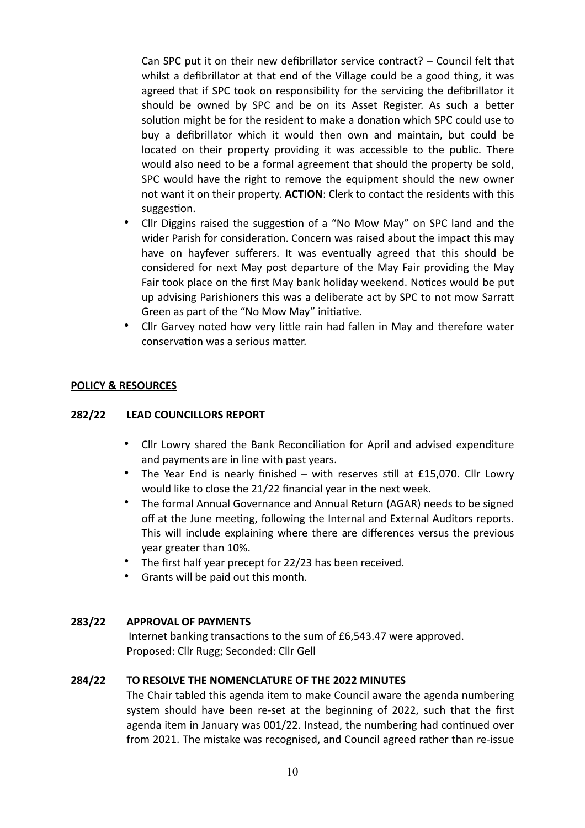Can SPC put it on their new defibrillator service contract? – Council felt that whilst a defibrillator at that end of the Village could be a good thing, it was agreed that if SPC took on responsibility for the servicing the defibrillator it should be owned by SPC and be on its Asset Register. As such a better solution might be for the resident to make a donation which SPC could use to buy a defibrillator which it would then own and maintain, but could be located on their property providing it was accessible to the public. There would also need to be a formal agreement that should the property be sold, SPC would have the right to remove the equipment should the new owner not want it on their property. **ACTION**: Clerk to contact the residents with this suggestion.

- Cllr Diggins raised the suggestion of a "No Mow May" on SPC land and the wider Parish for consideration. Concern was raised about the impact this may have on hayfever sufferers. It was eventually agreed that this should be considered for next May post departure of the May Fair providing the May Fair took place on the first May bank holiday weekend. Notices would be put up advising Parishioners this was a deliberate act by SPC to not mow Sarratt Green as part of the "No Mow May" initiative.
- Cllr Garvey noted how very little rain had fallen in May and therefore water conservation was a serious matter.

# **POLICY & RESOURCES**

# **282/22 LEAD COUNCILLORS REPORT**

- Cllr Lowry shared the Bank Reconciliation for April and advised expenditure and payments are in line with past years.
- The Year End is nearly finished with reserves still at £15,070. Cllr Lowry would like to close the 21/22 financial year in the next week.
- The formal Annual Governance and Annual Return (AGAR) needs to be signed off at the June meeting, following the Internal and External Auditors reports. This will include explaining where there are differences versus the previous year greater than 10%.
- The first half year precept for 22/23 has been received.
- Grants will be paid out this month.

## **283/22 APPROVAL OF PAYMENTS**

 Internet banking transactions to the sum of £6,543.47 were approved. Proposed: Cllr Rugg; Seconded: Cllr Gell

## **284/22 TO RESOLVE THE NOMENCLATURE OF THE 2022 MINUTES**

The Chair tabled this agenda item to make Council aware the agenda numbering system should have been re-set at the beginning of 2022, such that the first agenda item in January was 001/22. Instead, the numbering had continued over from 2021. The mistake was recognised, and Council agreed rather than re-issue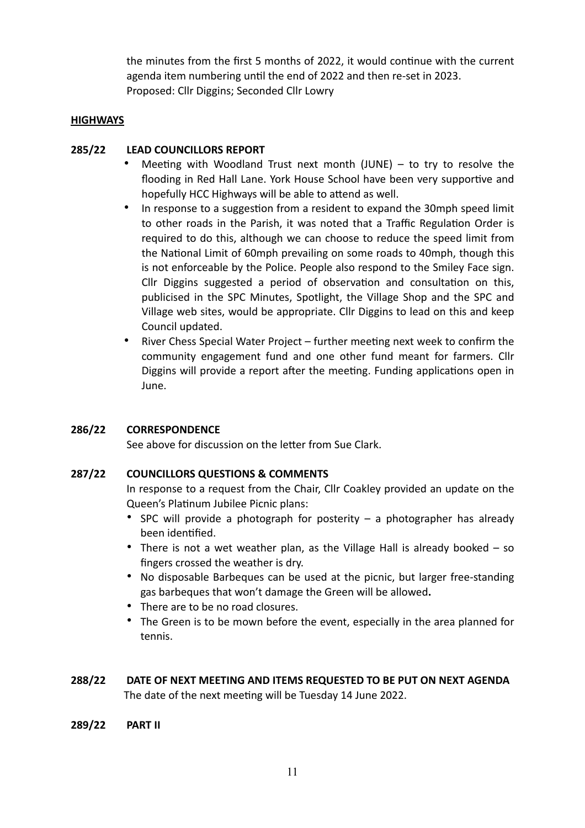the minutes from the first 5 months of 2022, it would continue with the current agenda item numbering until the end of 2022 and then re-set in 2023. Proposed: Cllr Diggins; Seconded Cllr Lowry

# **HIGHWAYS**

# **285/22 LEAD COUNCILLORS REPORT**

- Meeting with Woodland Trust next month  $(JUNE) to try to resolve the$ flooding in Red Hall Lane. York House School have been very supportive and hopefully HCC Highways will be able to attend as well.
- In response to a suggestion from a resident to expand the 30mph speed limit to other roads in the Parish, it was noted that a Traffic Regulation Order is required to do this, although we can choose to reduce the speed limit from the National Limit of 60mph prevailing on some roads to 40mph, though this is not enforceable by the Police. People also respond to the Smiley Face sign. Cllr Diggins suggested a period of observation and consultation on this, publicised in the SPC Minutes, Spotlight, the Village Shop and the SPC and Village web sites, would be appropriate. Cllr Diggins to lead on this and keep Council updated.
- River Chess Special Water Project further meeting next week to confirm the community engagement fund and one other fund meant for farmers. Cllr Diggins will provide a report after the meeting. Funding applications open in June.

## **286/22 CORRESPONDENCE**

See above for discussion on the letter from Sue Clark.

## **287/22 COUNCILLORS QUESTIONS & COMMENTS**

In response to a request from the Chair, Cllr Coakley provided an update on the Queen's Platinum Jubilee Picnic plans:

- SPC will provide a photograph for posterity a photographer has already been identified.
- There is not a wet weather plan, as the Village Hall is already booked so fingers crossed the weather is dry.
- No disposable Barbeques can be used at the picnic, but larger free-standing gas barbeques that won't damage the Green will be allowed**.**
- There are to be no road closures.
- The Green is to be mown before the event, especially in the area planned for tennis.
- **288/22 DATE OF NEXT MEETING AND ITEMS REQUESTED TO BE PUT ON NEXT AGENDA**  The date of the next meeting will be Tuesday 14 June 2022.
- **289/22 PART II**